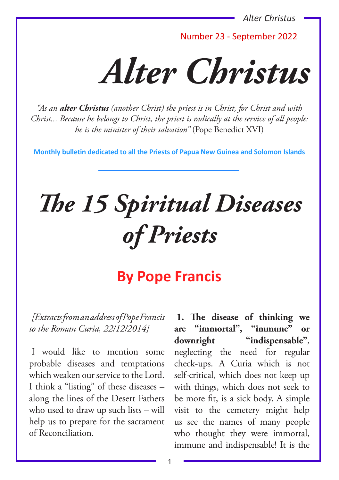Number 23 - September 2022

*Alter Christus*

*"As an alter Christus (another Christ) the priest is in Christ, for Christ and with Christ... Because he belongs to Christ, the priest is radically at the service of all people: he is the minister of their salvation"* (Pope Benedict XVI)

**Monthly bulletin dedicated to all the Priests of Papua New Guinea and Solomon Islands**

# *The 15 Spiritual Diseases of Priests*

## **By Pope Francis**

*[Extracts from an address of Pope Francis to the Roman Curia, 22/12/2014]*

I would like to mention some probable diseases and temptations which weaken our service to the Lord. I think a "listing" of these diseases – along the lines of the Desert Fathers who used to draw up such lists – will help us to prepare for the sacrament of Reconciliation.

**1. The disease of thinking we are "immortal", "immune" or downright "indispensable"**, neglecting the need for regular check-ups. A Curia which is not self-critical, which does not keep up with things, which does not seek to be more fit, is a sick body. A simple visit to the cemetery might help us see the names of many people who thought they were immortal, immune and indispensable! It is the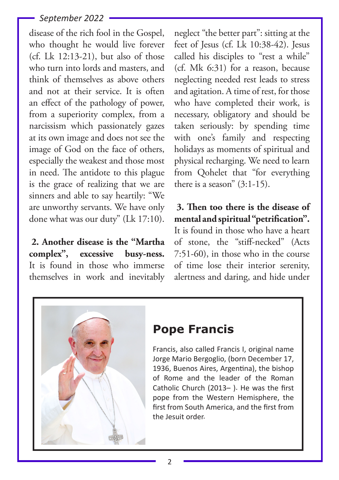disease of the rich fool in the Gospel, who thought he would live forever (cf. Lk  $12:13-21$ ), but also of those who turn into lords and masters, and think of themselves as above others and not at their service. It is often an effect of the pathology of power, from a superiority complex, from a narcissism which passionately gazes at its own image and does not see the image of God on the face of others, especially the weakest and those most in need. The antidote to this plague is the grace of realizing that we are sinners and able to say heartily: "We are unworthy servants. We have only done what was our duty" (Lk 17:10).

**2. Another disease is the "Martha complex", excessive busy-ness.** It is found in those who immerse themselves in work and inevitably neglect "the better part": sitting at the feet of Jesus (cf. Lk 10:38-42). Jesus called his disciples to "rest a while" (cf. Mk 6:31) for a reason, because neglecting needed rest leads to stress and agitation. A time of rest, for those who have completed their work, is necessary, obligatory and should be taken seriously: by spending time with one's family and respecting holidays as moments of spiritual and physical recharging. We need to learn from Qohelet that "for everything there is a season"  $(3:1-15)$ .

**3. Then too there is the disease of mental and spiritual "petrification".**  It is found in those who have a heart of stone, the "stiff-necked" (Acts 7:51-60), in those who in the course of time lose their interior serenity, alertness and daring, and hide under



### **Pope Francis**

Francis, also called Francis I, original name Jorge Mario Bergoglio, (born December 17, 1936, Buenos Aires, Argentina), the bishop of Rome and the leader of the Roman Catholic Church (2013– ). He was the first pope from the Western Hemisphere, the first from South America, and the first from the Jesuit order.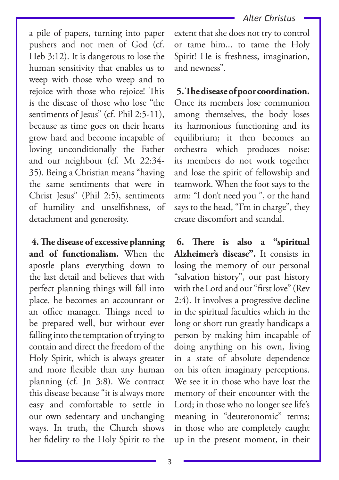a pile of papers, turning into paper pushers and not men of God (cf. Heb 3:12). It is dangerous to lose the human sensitivity that enables us to weep with those who weep and to rejoice with those who rejoice! This is the disease of those who lose "the sentiments of Jesus" (cf. Phil 2:5-11), because as time goes on their hearts grow hard and become incapable of loving unconditionally the Father and our neighbour (cf. Mt 22:34- 35). Being a Christian means "having the same sentiments that were in Christ Jesus" (Phil 2:5), sentiments of humility and unselfishness, of detachment and generosity.

**4. The disease of excessive planning and of functionalism.** When the apostle plans everything down to the last detail and believes that with perfect planning things will fall into place, he becomes an accountant or an office manager. Things need to be prepared well, but without ever falling into the temptation of trying to contain and direct the freedom of the Holy Spirit, which is always greater and more flexible than any human planning (cf. Jn 3:8). We contract this disease because "it is always more easy and comfortable to settle in our own sedentary and unchanging ways. In truth, the Church shows her fidelity to the Holy Spirit to the

extent that she does not try to control or tame him... to tame the Holy Spirit! He is freshness, imagination, and newness".

**5. The disease of poor coordination.**  Once its members lose communion among themselves, the body loses its harmonious functioning and its equilibrium; it then becomes an orchestra which produces noise: its members do not work together and lose the spirit of fellowship and teamwork. When the foot says to the arm: "I don't need you ", or the hand says to the head, "I'm in charge", they create discomfort and scandal.

**6. There is also a "spiritual Alzheimer's disease".** It consists in losing the memory of our personal "salvation history", our past history with the Lord and our "first love" (Rev 2:4). It involves a progressive decline in the spiritual faculties which in the long or short run greatly handicaps a person by making him incapable of doing anything on his own, living in a state of absolute dependence on his often imaginary perceptions. We see it in those who have lost the memory of their encounter with the Lord; in those who no longer see life's meaning in "deuteronomic" terms; in those who are completely caught up in the present moment, in their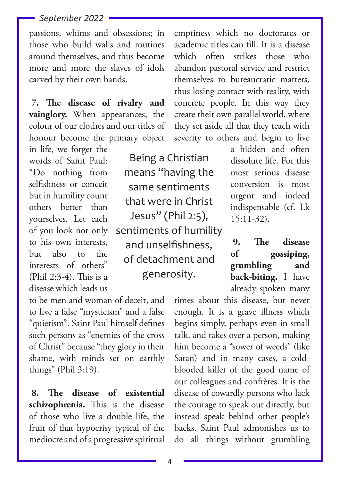passions, whims and obsessions; in those who build walls and routines around themselves, and thus become more and more the slaves of idols carved by their own hands.

**7. The disease of rivalry and vainglory.** When appearances, the colour of our clothes and our titles of honour become the primary object

in life, we forget the words of Saint Paul: "Do nothing from selfishness or conceit but in humility count others better than yourselves. Let each of you look not only to his own interests but also to the interests of others" (Phil 2:3-4). This is a disease which leads us

Being a Christian means "having the same sentiments that were in Christ Jesus" (Phil 2:5), sentiments of humility and unselfishness, of detachment and generosity.

to be men and woman of deceit, and to live a false "mysticism" and a false "quietism". Saint Paul himself defines such persons as "enemies of the cross of Christ" because "they glory in their shame, with minds set on earthly things" (Phil 3:19).

**8. The disease of existential schizophrenia.** This is the disease of those who live a double life, the fruit of that hypocrisy typical of the mediocre and of a progressive spiritual emptiness which no doctorates or academic titles can fill. It is a disease which often strikes those who abandon pastoral service and restrict themselves to bureaucratic matters, thus losing contact with reality, with concrete people. In this way they create their own parallel world, where they set aside all that they teach with severity to others and begin to live

> a hidden and often dissolute life. For this most serious disease conversion is most urgent and indeed indispensable (cf. Lk 15:11-32).

> **9. The disease of gossiping, grumbling and back-biting.** I have already spoken many

times about this disease, but never enough. It is a grave illness which begins simply, perhaps even in small talk, and takes over a person, making him become a "sower of weeds" (like Satan) and in many cases, a coldblooded killer of the good name of our colleagues and confrères. It is the disease of cowardly persons who lack the courage to speak out directly, but instead speak behind other people's backs. Saint Paul admonishes us to do all things without grumbling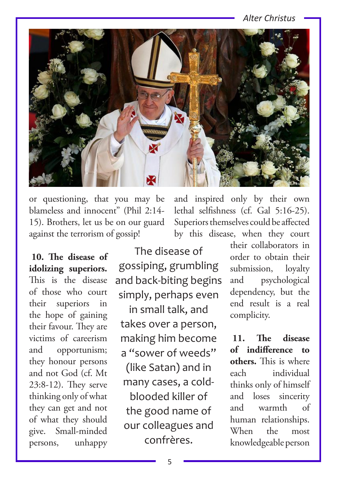

or questioning, that you may be blameless and innocent" (Phil 2:14- 15). Brothers, let us be on our guard against the terrorism of gossip!

and inspired only by their own lethal selfishness (cf. Gal 5:16-25). Superiors themselves could be affected by this disease, when they court

**10. The disease of idolizing superiors.**  This is the disease of those who court their superiors in the hope of gaining their favour. They are victims of careerism and opportunism; they honour persons and not God (cf. Mt 23:8-12). They serve thinking only of what they can get and not of what they should give. Small-minded persons, unhappy

The disease of gossiping, grumbling and back-biting begins simply, perhaps even

in small talk, and takes over a person, making him become a "sower of weeds" (like Satan) and in many cases, a coldblooded killer of the good name of our colleagues and confrères.

their collaborators in order to obtain their submission, loyalty and psychological dependency, but the end result is a real complicity.

**11. The disease of indifference to others.** This is where each individual thinks only of himself and loses sincerity and warmth of human relationships. When the most knowledgeable person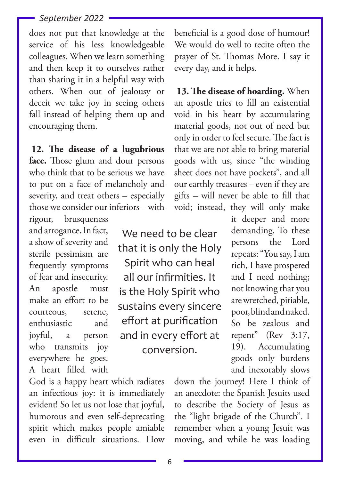does not put that knowledge at the service of his less knowledgeable colleagues. When we learn something and then keep it to ourselves rather than sharing it in a helpful way with others. When out of jealousy or deceit we take joy in seeing others fall instead of helping them up and encouraging them.

**12. The disease of a lugubrious face.** Those glum and dour persons who think that to be serious we have to put on a face of melancholy and severity, and treat others – especially those we consider our inferiors – with

rigour, brusqueness and arrogance. In fact, a show of severity and sterile pessimism are frequently symptoms of fear and insecurity. An apostle must make an effort to be courteous, serene, enthusiastic and joyful, a person who transmits joy everywhere he goes. A heart filled with

We need to be clear that it is only the Holy Spirit who can heal all our infirmities. It is the Holy Spirit who sustains every sincere effort at purification and in every effort at conversion.

beneficial is a good dose of humour! We would do well to recite often the prayer of St. Thomas More. I say it every day, and it helps.

**13. The disease of hoarding.** When an apostle tries to fill an existential void in his heart by accumulating material goods, not out of need but only in order to feel secure. The fact is that we are not able to bring material goods with us, since "the winding sheet does not have pockets", and all our earthly treasures – even if they are gifts – will never be able to fill that void; instead, they will only make

> it deeper and more demanding. To these persons the Lord repeats: "You say, I am rich, I have prospered and I need nothing; not knowing that you are wretched, pitiable, poor, blind and naked. So be zealous and repent" (Rev 3:17, 19). Accumulating goods only burdens and inexorably slows

God is a happy heart which radiates an infectious joy: it is immediately evident! So let us not lose that joyful, humorous and even self-deprecating spirit which makes people amiable even in difficult situations. How down the journey! Here I think of an anecdote: the Spanish Jesuits used to describe the Society of Jesus as the "light brigade of the Church". I remember when a young Jesuit was moving, and while he was loading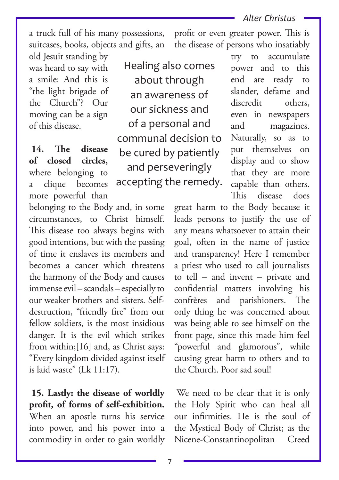profit or even greater power. This is the disease of persons who insatiably

a truck full of his many possessions, suitcases, books, objects and gifts, an

old Jesuit standing by was heard to say with a smile: And this is "the light brigade of the Church"? Our moving can be a sign of this disease.

**14. The disease of closed circles,**  where belonging to a clique becomes more powerful than

belonging to the Body and, in some circumstances, to Christ himself. This disease too always begins with good intentions, but with the passing of time it enslaves its members and becomes a cancer which threatens the harmony of the Body and causes immense evil – scandals – especially to our weaker brothers and sisters. Selfdestruction, "friendly fire" from our fellow soldiers, is the most insidious danger. It is the evil which strikes from within;[16] and, as Christ says: "Every kingdom divided against itself is laid waste" (Lk 11:17).

**15. Lastly: the disease of worldly profit, of forms of self-exhibition.** When an apostle turns his service into power, and his power into a commodity in order to gain worldly

Healing also comes about through an awareness of our sickness and of a personal and communal decision to be cured by patiently and perseveringly accepting the remedy.

try to accumulate power and to this end are ready to slander, defame and discredit others. even in newspapers and magazines. Naturally, so as to put themselves on display and to show that they are more capable than others. This disease does

great harm to the Body because it leads persons to justify the use of any means whatsoever to attain their goal, often in the name of justice and transparency! Here I remember a priest who used to call journalists to tell – and invent – private and confidential matters involving his confrères and parishioners. The only thing he was concerned about was being able to see himself on the front page, since this made him feel "powerful and glamorous", while causing great harm to others and to the Church. Poor sad soul!

We need to be clear that it is only the Holy Spirit who can heal all our infirmities. He is the soul of the Mystical Body of Christ; as the Nicene-Constantinopolitan Creed